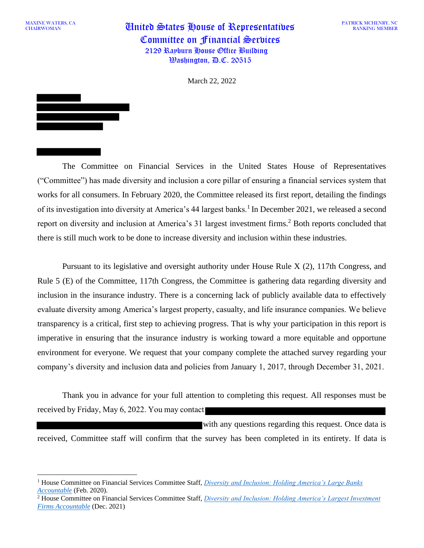MAXINE WATERS, CA

MAXINE WATERS, CA **United States House of Representatives** Committee on Financial Services 2129 Rayburn House Office Building  $\mathcal{W}$ ashington,  $\mathcal{P}$ .C. 20515

PATRICK MCHENRY, NC RANKING MEMBER

March 22, 2022

The Committee on Financial Services in the United States House of Representatives ("Committee") has made diversity and inclusion a core pillar of ensuring a financial services system that works for all consumers. In February 2020, the Committee released its first report, detailing the findings of its investigation into diversity at America's 44 largest banks.<sup>1</sup> In December 2021, we released a second report on diversity and inclusion at America's 31 largest investment firms.<sup>2</sup> Both reports concluded that

there is still much work to be done to increase diversity and inclusion within these industries.

Pursuant to its legislative and oversight authority under House Rule X (2), 117th Congress, and Rule 5 (E) of the Committee, 117th Congress, the Committee is gathering data regarding diversity and inclusion in the insurance industry. There is a concerning lack of publicly available data to effectively evaluate diversity among America's largest property, casualty, and life insurance companies. We believe transparency is a critical, first step to achieving progress. That is why your participation in this report is imperative in ensuring that the insurance industry is working toward a more equitable and opportune environment for everyone. We request that your company complete the attached survey regarding your company's diversity and inclusion data and policies from January 1, 2017, through December 31, 2021.

Thank you in advance for your full attention to completing this request. All responses must be received by Friday, May 6, 2022. You may contact

with any questions regarding this request. Once data is received, Committee staff will confirm that the survey has been completed in its entirety. If data is

<sup>1</sup> House Committee on Financial Services Committee Staff, *[Diversity and Inclusion: Holding America's Large Banks](https://docs.house.gov/meetings/BA/BA13/20200212/110498/HHRG-116-BA13-20200212-SD003-U1.pdf)  [Accountable](https://docs.house.gov/meetings/BA/BA13/20200212/110498/HHRG-116-BA13-20200212-SD003-U1.pdf)* (Feb. 2020).

<sup>&</sup>lt;sup>2</sup> House Committee on Financial Services Committee Staff, *Diversity and Inclusion: Holding America's Largest Investment [Firms Accountable](https://financialservices.house.gov/uploadedfiles/l_i_m_rpt.pdf)* (Dec. 2021)